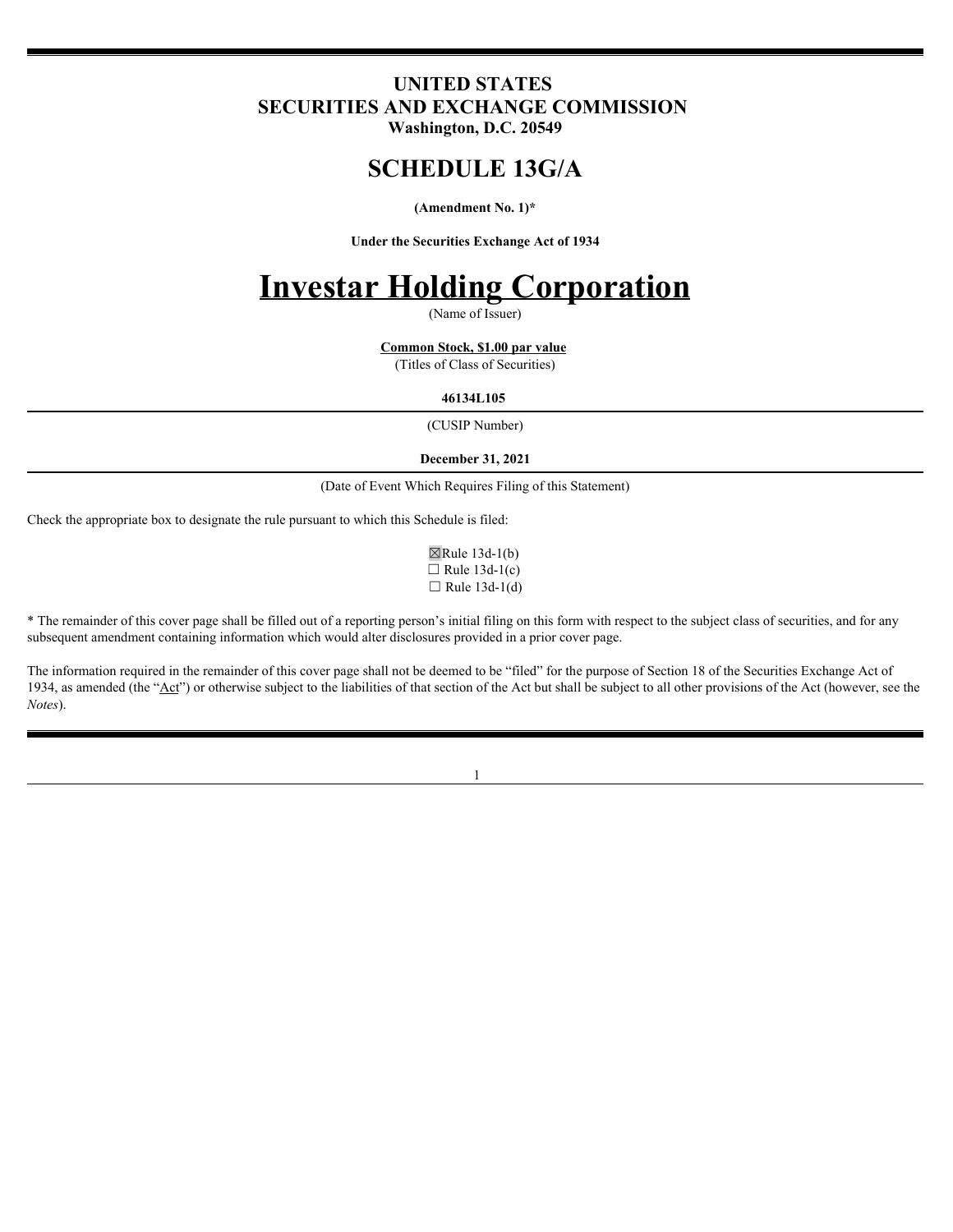## **UNITED STATES SECURITIES AND EXCHANGE COMMISSION**

**Washington, D.C. 20549**

## **SCHEDULE 13G/A**

### **(Amendment No. 1)\***

**Under the Securities Exchange Act of 1934**

# **Investar Holding Corporation**

(Name of Issuer)

**Common Stock, \$1.00 par value**

(Titles of Class of Securities)

### **46134L105**

(CUSIP Number)

#### **December 31, 2021**

(Date of Event Which Requires Filing of this Statement)

Check the appropriate box to designate the rule pursuant to which this Schedule is filed:

 $\boxtimes$ Rule 13d-1(b)  $\Box$  Rule 13d-1(c)  $\Box$  Rule 13d-1(d)

\* The remainder of this cover page shall be filled out of a reporting person's initial filing on this form with respect to the subject class of securities, and for any subsequent amendment containing information which would alter disclosures provided in a prior cover page.

The information required in the remainder of this cover page shall not be deemed to be "filed" for the purpose of Section 18 of the Securities Exchange Act of 1934, as amended (the "Act") or otherwise subject to the liabilities of that section of the Act but shall be subject to all other provisions of the Act (however, see the *Notes*).

1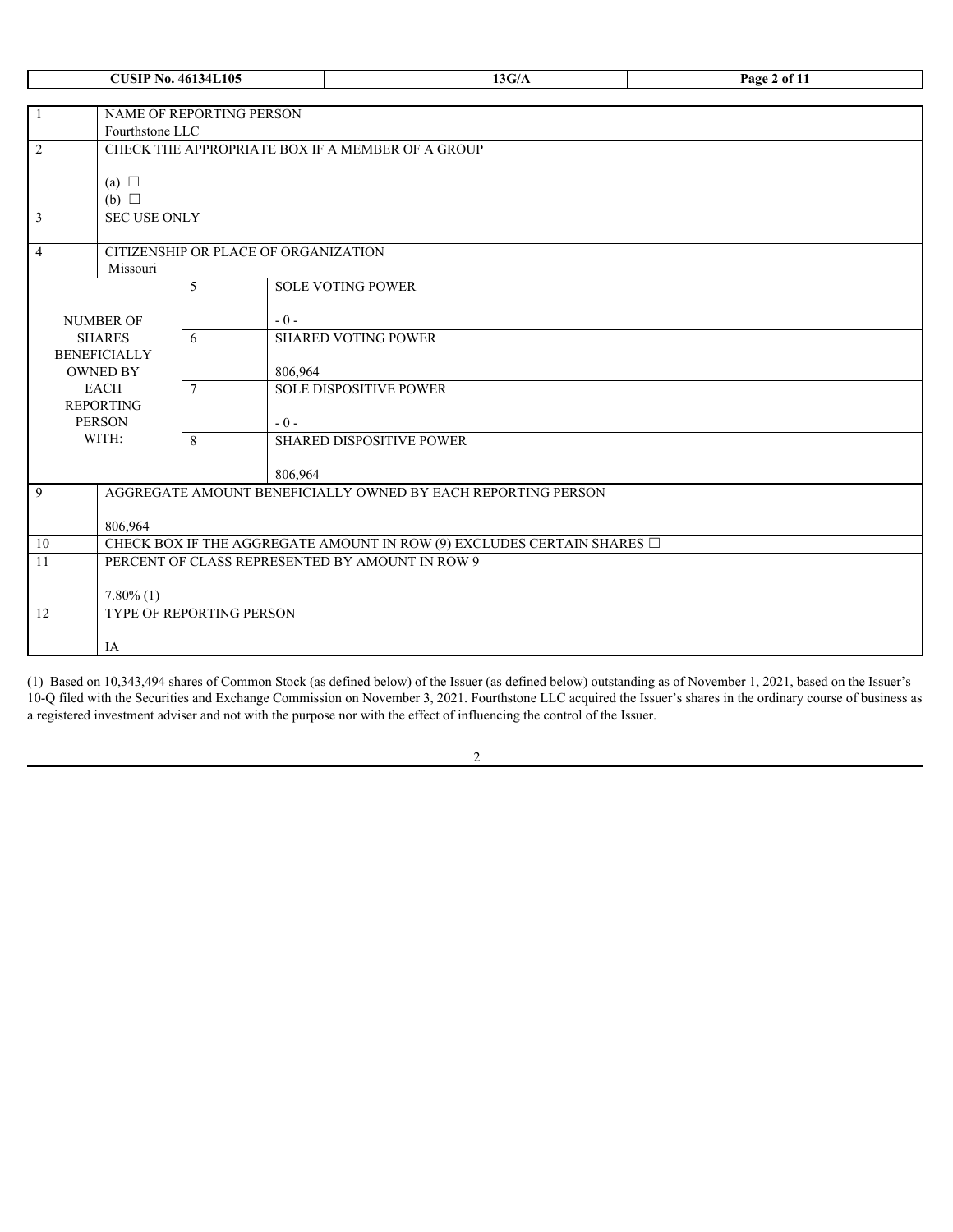|          | <b>CUSIP No. 46134L105</b>                                                             |                                      |         | 13G/A                                                        | Page 2 of 11 |  |  |  |
|----------|----------------------------------------------------------------------------------------|--------------------------------------|---------|--------------------------------------------------------------|--------------|--|--|--|
|          |                                                                                        |                                      |         |                                                              |              |  |  |  |
|          | NAME OF REPORTING PERSON                                                               |                                      |         |                                                              |              |  |  |  |
| 2        | Fourthstone LLC                                                                        |                                      |         | CHECK THE APPROPRIATE BOX IF A MEMBER OF A GROUP             |              |  |  |  |
|          |                                                                                        |                                      |         |                                                              |              |  |  |  |
|          | (a) $\Box$                                                                             |                                      |         |                                                              |              |  |  |  |
|          | (b) $\Box$                                                                             |                                      |         |                                                              |              |  |  |  |
| 3        | <b>SEC USE ONLY</b>                                                                    |                                      |         |                                                              |              |  |  |  |
|          |                                                                                        | CITIZENSHIP OR PLACE OF ORGANIZATION |         |                                                              |              |  |  |  |
| 4        | Missouri                                                                               |                                      |         |                                                              |              |  |  |  |
|          |                                                                                        | 5                                    |         | <b>SOLE VOTING POWER</b>                                     |              |  |  |  |
|          |                                                                                        |                                      |         |                                                              |              |  |  |  |
|          | NUMBER OF                                                                              |                                      | $-0-$   |                                                              |              |  |  |  |
|          | <b>SHARES</b><br><b>BENEFICIALLY</b>                                                   | 6                                    |         | <b>SHARED VOTING POWER</b>                                   |              |  |  |  |
|          | <b>OWNED BY</b>                                                                        |                                      | 806,964 |                                                              |              |  |  |  |
|          | <b>EACH</b>                                                                            | $\tau$                               |         | <b>SOLE DISPOSITIVE POWER</b>                                |              |  |  |  |
|          | <b>REPORTING</b>                                                                       |                                      |         |                                                              |              |  |  |  |
|          | <b>PERSON</b>                                                                          |                                      | $-0-$   |                                                              |              |  |  |  |
|          | WITH:                                                                                  | 8                                    |         | <b>SHARED DISPOSITIVE POWER</b>                              |              |  |  |  |
|          |                                                                                        |                                      | 806,964 |                                                              |              |  |  |  |
| 9        |                                                                                        |                                      |         | AGGREGATE AMOUNT BENEFICIALLY OWNED BY EACH REPORTING PERSON |              |  |  |  |
|          |                                                                                        |                                      |         |                                                              |              |  |  |  |
|          | 806,964<br>CHECK BOX IF THE AGGREGATE AMOUNT IN ROW (9) EXCLUDES CERTAIN SHARES $\Box$ |                                      |         |                                                              |              |  |  |  |
| 10<br>11 |                                                                                        |                                      |         | PERCENT OF CLASS REPRESENTED BY AMOUNT IN ROW 9              |              |  |  |  |
|          |                                                                                        |                                      |         |                                                              |              |  |  |  |
|          | $7.80\%$ (1)                                                                           |                                      |         |                                                              |              |  |  |  |
| 12       |                                                                                        | <b>TYPE OF REPORTING PERSON</b>      |         |                                                              |              |  |  |  |
|          |                                                                                        |                                      |         |                                                              |              |  |  |  |
|          | IA                                                                                     |                                      |         |                                                              |              |  |  |  |

(1) Based on 10,343,494 shares of Common Stock (as defined below) of the Issuer (as defined below) outstanding as of November 1, 2021, based on the Issuer's 10-Q filed with the Securities and Exchange Commission on November 3, 2021. Fourthstone LLC acquired the Issuer's shares in the ordinary course of business as a registered investment adviser and not with the purpose nor with the effect of influencing the control of the Issuer.

|  | v |   |   |  |
|--|---|---|---|--|
|  |   |   | I |  |
|  |   | I |   |  |
|  |   |   |   |  |
|  |   |   |   |  |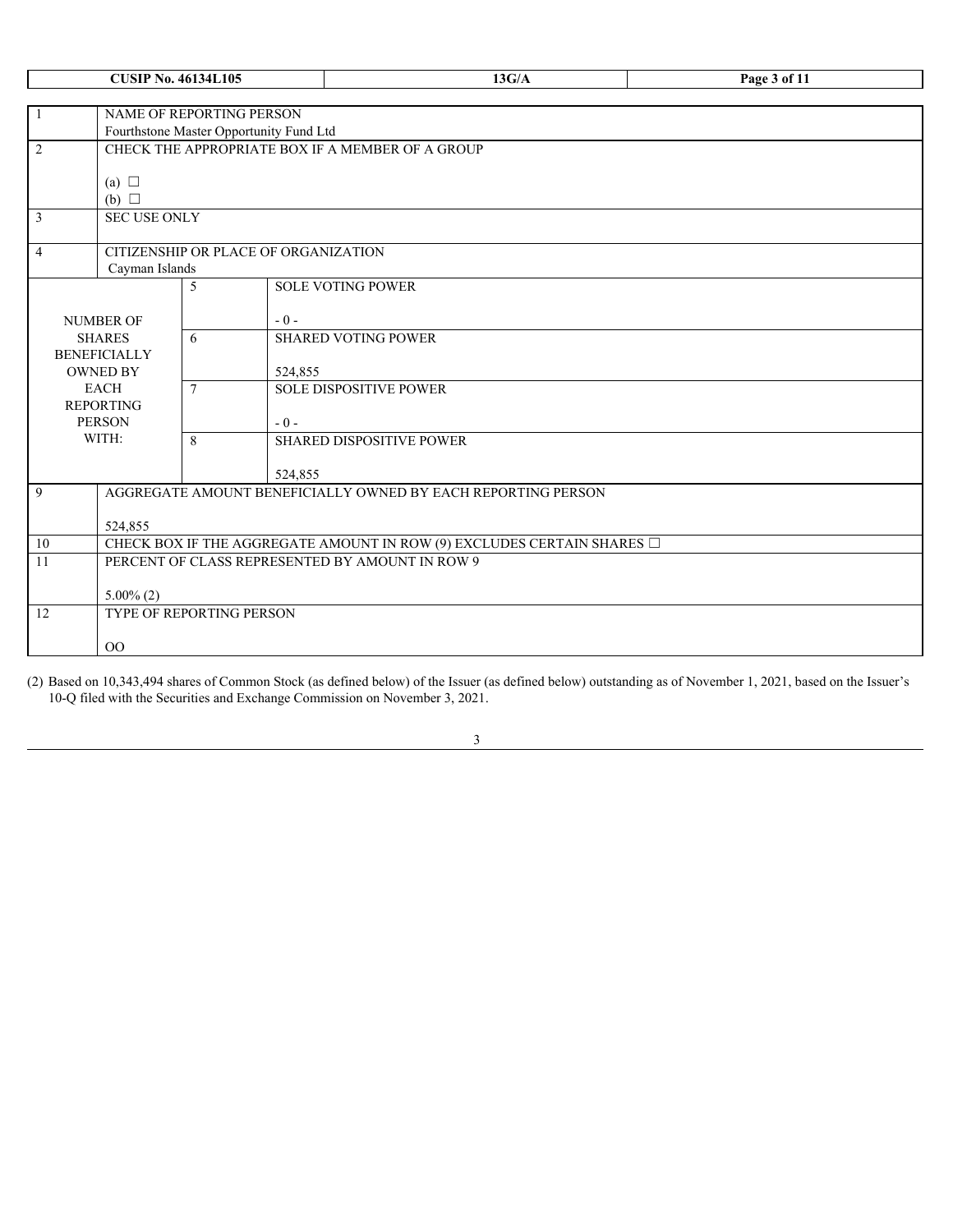| <b>CUSIP No. 46134L105</b> |                                                                     |                                      |         | 13G/A                                                                       | Page 3 of 11 |  |  |  |
|----------------------------|---------------------------------------------------------------------|--------------------------------------|---------|-----------------------------------------------------------------------------|--------------|--|--|--|
|                            |                                                                     |                                      |         |                                                                             |              |  |  |  |
|                            | NAME OF REPORTING PERSON<br>Fourthstone Master Opportunity Fund Ltd |                                      |         |                                                                             |              |  |  |  |
| 2                          |                                                                     |                                      |         | CHECK THE APPROPRIATE BOX IF A MEMBER OF A GROUP                            |              |  |  |  |
|                            |                                                                     |                                      |         |                                                                             |              |  |  |  |
|                            | (a) $\Box$                                                          |                                      |         |                                                                             |              |  |  |  |
|                            | (b) $\Box$                                                          |                                      |         |                                                                             |              |  |  |  |
| $\overline{3}$             | <b>SEC USE ONLY</b>                                                 |                                      |         |                                                                             |              |  |  |  |
|                            |                                                                     |                                      |         |                                                                             |              |  |  |  |
| $\overline{4}$             | Cayman Islands                                                      | CITIZENSHIP OR PLACE OF ORGANIZATION |         |                                                                             |              |  |  |  |
|                            |                                                                     | 5                                    |         | <b>SOLE VOTING POWER</b>                                                    |              |  |  |  |
|                            |                                                                     |                                      |         |                                                                             |              |  |  |  |
|                            | NUMBER OF                                                           |                                      | $-0-$   |                                                                             |              |  |  |  |
|                            | <b>SHARES</b>                                                       | 6                                    |         | <b>SHARED VOTING POWER</b>                                                  |              |  |  |  |
|                            | <b>BENEFICIALLY</b><br><b>OWNED BY</b>                              |                                      | 524,855 |                                                                             |              |  |  |  |
|                            | <b>EACH</b>                                                         | $\tau$                               |         | <b>SOLE DISPOSITIVE POWER</b>                                               |              |  |  |  |
|                            | <b>REPORTING</b>                                                    |                                      |         |                                                                             |              |  |  |  |
|                            | <b>PERSON</b>                                                       |                                      | $-0-$   |                                                                             |              |  |  |  |
|                            | WITH:                                                               | 8                                    |         | <b>SHARED DISPOSITIVE POWER</b>                                             |              |  |  |  |
|                            |                                                                     |                                      | 524,855 |                                                                             |              |  |  |  |
| 9                          |                                                                     |                                      |         | AGGREGATE AMOUNT BENEFICIALLY OWNED BY EACH REPORTING PERSON                |              |  |  |  |
|                            |                                                                     |                                      |         |                                                                             |              |  |  |  |
|                            | 524,855                                                             |                                      |         |                                                                             |              |  |  |  |
| 10                         |                                                                     |                                      |         | CHECK BOX IF THE AGGREGATE AMOUNT IN ROW (9) EXCLUDES CERTAIN SHARES $\Box$ |              |  |  |  |
| $11\,$                     |                                                                     |                                      |         | PERCENT OF CLASS REPRESENTED BY AMOUNT IN ROW 9                             |              |  |  |  |
|                            | $5.00\%$ (2)                                                        |                                      |         |                                                                             |              |  |  |  |
| 12                         |                                                                     | TYPE OF REPORTING PERSON             |         |                                                                             |              |  |  |  |
|                            |                                                                     |                                      |         |                                                                             |              |  |  |  |
|                            | O <sub>O</sub>                                                      |                                      |         |                                                                             |              |  |  |  |

(2) Based on 10,343,494 shares of Common Stock (as defined below) of the Issuer (as defined below) outstanding as of November 1, 2021, based on the Issuer's 10-Q filed with the Securities and Exchange Commission on November 3, 2021.

| ٠<br>I                 |
|------------------------|
| ٦                      |
| I<br>I<br>I<br>×<br>۰. |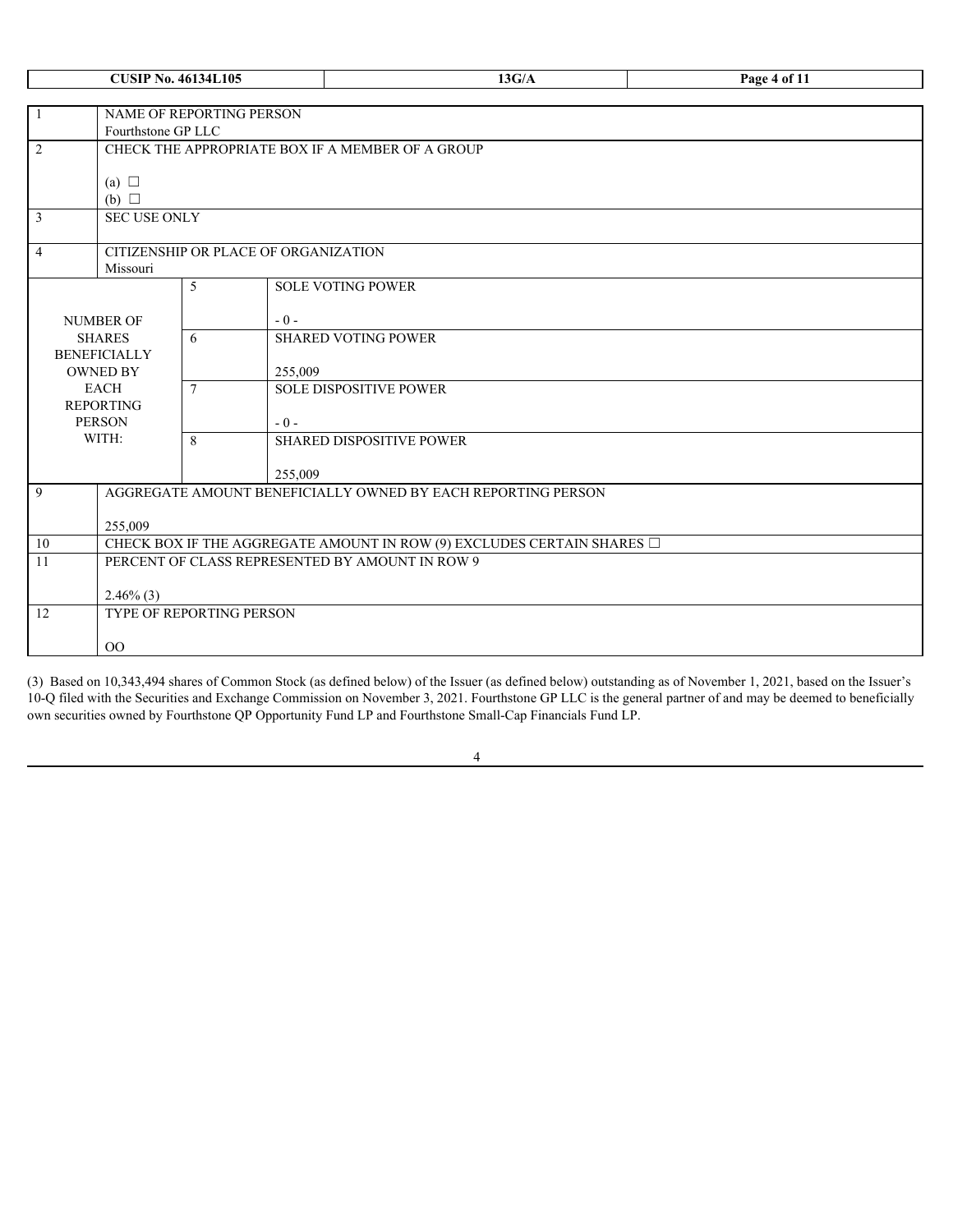| <b>CUSIP No. 46134L105</b> |                                                                                        |                                      |         | 13G/A                                           | Page 4 of 11 |  |  |  |
|----------------------------|----------------------------------------------------------------------------------------|--------------------------------------|---------|-------------------------------------------------|--------------|--|--|--|
|                            |                                                                                        |                                      |         |                                                 |              |  |  |  |
|                            | NAME OF REPORTING PERSON                                                               |                                      |         |                                                 |              |  |  |  |
| 2                          | Fourthstone GP LLC<br>CHECK THE APPROPRIATE BOX IF A MEMBER OF A GROUP                 |                                      |         |                                                 |              |  |  |  |
|                            |                                                                                        |                                      |         |                                                 |              |  |  |  |
|                            | (a) $\Box$                                                                             |                                      |         |                                                 |              |  |  |  |
|                            | (b) $\Box$                                                                             |                                      |         |                                                 |              |  |  |  |
| $\overline{3}$             | <b>SEC USE ONLY</b>                                                                    |                                      |         |                                                 |              |  |  |  |
| $\overline{4}$             |                                                                                        | CITIZENSHIP OR PLACE OF ORGANIZATION |         |                                                 |              |  |  |  |
|                            | Missouri                                                                               |                                      |         |                                                 |              |  |  |  |
|                            |                                                                                        | 5                                    |         | <b>SOLE VOTING POWER</b>                        |              |  |  |  |
|                            |                                                                                        |                                      |         |                                                 |              |  |  |  |
|                            | <b>NUMBER OF</b>                                                                       |                                      | $-0-$   |                                                 |              |  |  |  |
|                            | <b>SHARES</b><br><b>BENEFICIALLY</b>                                                   | 6                                    |         | <b>SHARED VOTING POWER</b>                      |              |  |  |  |
|                            | <b>OWNED BY</b>                                                                        |                                      | 255,009 |                                                 |              |  |  |  |
|                            | <b>EACH</b>                                                                            | $\tau$                               |         | <b>SOLE DISPOSITIVE POWER</b>                   |              |  |  |  |
|                            | <b>REPORTING</b>                                                                       |                                      |         |                                                 |              |  |  |  |
|                            | <b>PERSON</b>                                                                          |                                      | $-0-$   |                                                 |              |  |  |  |
|                            | WITH:                                                                                  | 8                                    |         | SHARED DISPOSITIVE POWER                        |              |  |  |  |
|                            |                                                                                        |                                      | 255,009 |                                                 |              |  |  |  |
| 9                          | AGGREGATE AMOUNT BENEFICIALLY OWNED BY EACH REPORTING PERSON                           |                                      |         |                                                 |              |  |  |  |
|                            |                                                                                        |                                      |         |                                                 |              |  |  |  |
|                            | 255,009<br>CHECK BOX IF THE AGGREGATE AMOUNT IN ROW (9) EXCLUDES CERTAIN SHARES $\Box$ |                                      |         |                                                 |              |  |  |  |
| 10<br>11                   |                                                                                        |                                      |         | PERCENT OF CLASS REPRESENTED BY AMOUNT IN ROW 9 |              |  |  |  |
|                            |                                                                                        |                                      |         |                                                 |              |  |  |  |
|                            | $2.46\%$ (3)                                                                           |                                      |         |                                                 |              |  |  |  |
| $12 \,$                    |                                                                                        | TYPE OF REPORTING PERSON             |         |                                                 |              |  |  |  |
|                            |                                                                                        |                                      |         |                                                 |              |  |  |  |
|                            | O <sub>O</sub>                                                                         |                                      |         |                                                 |              |  |  |  |

(3) Based on 10,343,494 shares of Common Stock (as defined below) of the Issuer (as defined below) outstanding as of November 1, 2021, based on the Issuer's 10-Q filed with the Securities and Exchange Commission on November 3, 2021. Fourthstone GP LLC is the general partner of and may be deemed to beneficially own securities owned by Fourthstone QP Opportunity Fund LP and Fourthstone Small-Cap Financials Fund LP.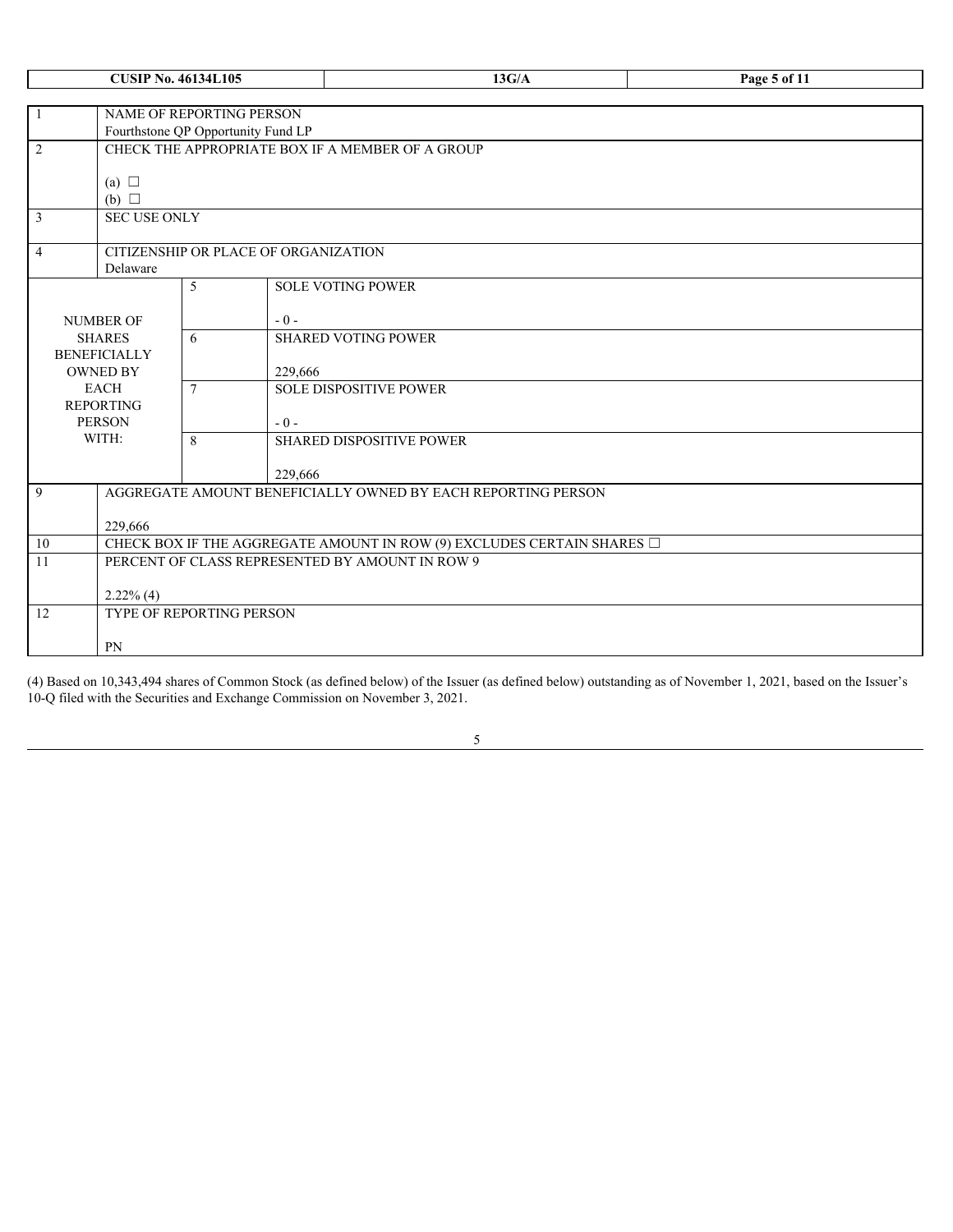| <b>CUSIP No. 46134L105</b> |                                                                                        |                                      |         | 13G/A                                                                       | Page 5 of 11 |  |  |
|----------------------------|----------------------------------------------------------------------------------------|--------------------------------------|---------|-----------------------------------------------------------------------------|--------------|--|--|
|                            |                                                                                        |                                      |         |                                                                             |              |  |  |
|                            | NAME OF REPORTING PERSON                                                               |                                      |         |                                                                             |              |  |  |
| 2                          | Fourthstone QP Opportunity Fund LP<br>CHECK THE APPROPRIATE BOX IF A MEMBER OF A GROUP |                                      |         |                                                                             |              |  |  |
|                            |                                                                                        |                                      |         |                                                                             |              |  |  |
|                            | (a) $\Box$                                                                             |                                      |         |                                                                             |              |  |  |
|                            | $(b)$ $\square$                                                                        |                                      |         |                                                                             |              |  |  |
| 3                          | <b>SEC USE ONLY</b>                                                                    |                                      |         |                                                                             |              |  |  |
| $\overline{4}$             |                                                                                        | CITIZENSHIP OR PLACE OF ORGANIZATION |         |                                                                             |              |  |  |
|                            | Delaware                                                                               |                                      |         |                                                                             |              |  |  |
|                            |                                                                                        | 5                                    |         | <b>SOLE VOTING POWER</b>                                                    |              |  |  |
|                            | <b>NUMBER OF</b>                                                                       |                                      | $-0-$   |                                                                             |              |  |  |
|                            | <b>SHARES</b>                                                                          | 6                                    |         | <b>SHARED VOTING POWER</b>                                                  |              |  |  |
|                            | <b>BENEFICIALLY</b>                                                                    |                                      |         |                                                                             |              |  |  |
|                            | <b>OWNED BY</b>                                                                        |                                      | 229,666 |                                                                             |              |  |  |
|                            | <b>EACH</b><br><b>REPORTING</b>                                                        | $\tau$                               |         | <b>SOLE DISPOSITIVE POWER</b>                                               |              |  |  |
|                            | <b>PERSON</b>                                                                          |                                      | $-0-$   |                                                                             |              |  |  |
|                            | WITH:                                                                                  | 8                                    |         | SHARED DISPOSITIVE POWER                                                    |              |  |  |
|                            |                                                                                        |                                      |         |                                                                             |              |  |  |
|                            |                                                                                        |                                      | 229,666 |                                                                             |              |  |  |
| 9                          | AGGREGATE AMOUNT BENEFICIALLY OWNED BY EACH REPORTING PERSON                           |                                      |         |                                                                             |              |  |  |
|                            | 229,666                                                                                |                                      |         |                                                                             |              |  |  |
| $10\,$                     |                                                                                        |                                      |         | CHECK BOX IF THE AGGREGATE AMOUNT IN ROW (9) EXCLUDES CERTAIN SHARES $\Box$ |              |  |  |
| $11\,$                     |                                                                                        |                                      |         | PERCENT OF CLASS REPRESENTED BY AMOUNT IN ROW 9                             |              |  |  |
|                            | $2.22\%$ (4)                                                                           |                                      |         |                                                                             |              |  |  |
| 12                         |                                                                                        | TYPE OF REPORTING PERSON             |         |                                                                             |              |  |  |
|                            |                                                                                        |                                      |         |                                                                             |              |  |  |
|                            | PN                                                                                     |                                      |         |                                                                             |              |  |  |

(4) Based on 10,343,494 shares of Common Stock (as defined below) of the Issuer (as defined below) outstanding as of November 1, 2021, based on the Issuer's 10-Q filed with the Securities and Exchange Commission on November 3, 2021.

| I<br>I<br>i<br>v |
|------------------|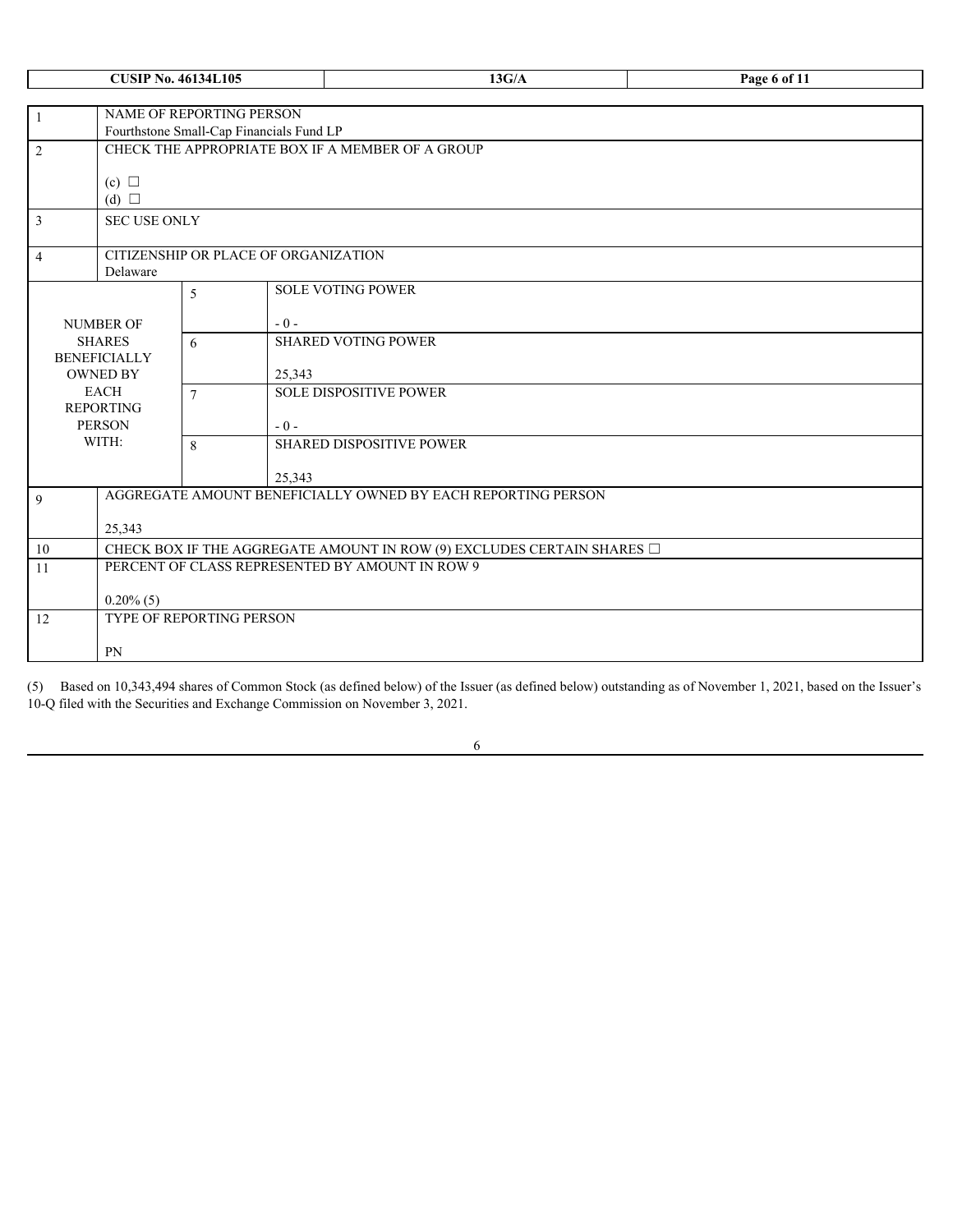|                | <b>CUSIP No. 46134L105</b>                                                                   |                          | 13G/A                                                                       |  | Page 6 of 11 |  |  |  |
|----------------|----------------------------------------------------------------------------------------------|--------------------------|-----------------------------------------------------------------------------|--|--------------|--|--|--|
|                |                                                                                              |                          |                                                                             |  |              |  |  |  |
|                | NAME OF REPORTING PERSON                                                                     |                          |                                                                             |  |              |  |  |  |
|                | Fourthstone Small-Cap Financials Fund LP<br>CHECK THE APPROPRIATE BOX IF A MEMBER OF A GROUP |                          |                                                                             |  |              |  |  |  |
| 2              |                                                                                              |                          |                                                                             |  |              |  |  |  |
|                | (c) $\Box$                                                                                   |                          |                                                                             |  |              |  |  |  |
|                | (d) $\Box$                                                                                   |                          |                                                                             |  |              |  |  |  |
| $\overline{3}$ | SEC USE ONLY                                                                                 |                          |                                                                             |  |              |  |  |  |
|                |                                                                                              |                          |                                                                             |  |              |  |  |  |
| $\overline{4}$ | Delaware                                                                                     |                          | CITIZENSHIP OR PLACE OF ORGANIZATION                                        |  |              |  |  |  |
|                |                                                                                              | 5                        | <b>SOLE VOTING POWER</b>                                                    |  |              |  |  |  |
|                |                                                                                              |                          |                                                                             |  |              |  |  |  |
|                | <b>NUMBER OF</b>                                                                             |                          | $-0-$                                                                       |  |              |  |  |  |
|                | <b>SHARES</b>                                                                                | 6                        | <b>SHARED VOTING POWER</b>                                                  |  |              |  |  |  |
|                | <b>BENEFICIALLY</b><br><b>OWNED BY</b>                                                       |                          | 25,343                                                                      |  |              |  |  |  |
|                | <b>EACH</b>                                                                                  | $\tau$                   | <b>SOLE DISPOSITIVE POWER</b>                                               |  |              |  |  |  |
|                | <b>REPORTING</b>                                                                             |                          |                                                                             |  |              |  |  |  |
| <b>PERSON</b>  |                                                                                              |                          | $-0-$                                                                       |  |              |  |  |  |
|                | WITH:                                                                                        | 8                        | <b>SHARED DISPOSITIVE POWER</b>                                             |  |              |  |  |  |
|                |                                                                                              |                          | 25,343                                                                      |  |              |  |  |  |
| 9              |                                                                                              |                          | AGGREGATE AMOUNT BENEFICIALLY OWNED BY EACH REPORTING PERSON                |  |              |  |  |  |
|                |                                                                                              |                          |                                                                             |  |              |  |  |  |
|                | 25,343                                                                                       |                          |                                                                             |  |              |  |  |  |
| $10\,$         |                                                                                              |                          | CHECK BOX IF THE AGGREGATE AMOUNT IN ROW (9) EXCLUDES CERTAIN SHARES $\Box$ |  |              |  |  |  |
| 11             |                                                                                              |                          | PERCENT OF CLASS REPRESENTED BY AMOUNT IN ROW 9                             |  |              |  |  |  |
|                | $0.20\%$ (5)                                                                                 |                          |                                                                             |  |              |  |  |  |
| 12             |                                                                                              | TYPE OF REPORTING PERSON |                                                                             |  |              |  |  |  |
|                |                                                                                              |                          |                                                                             |  |              |  |  |  |
|                | PN                                                                                           |                          |                                                                             |  |              |  |  |  |

(5) Based on 10,343,494 shares of Common Stock (as defined below) of the Issuer (as defined below) outstanding as of November 1, 2021, based on the Issuer's 10-Q filed with the Securities and Exchange Commission on November 3, 2021.

|        |   | ٠       |   |  |
|--------|---|---------|---|--|
|        | i |         |   |  |
| ć<br>× |   | ٦<br>۰, | ۹ |  |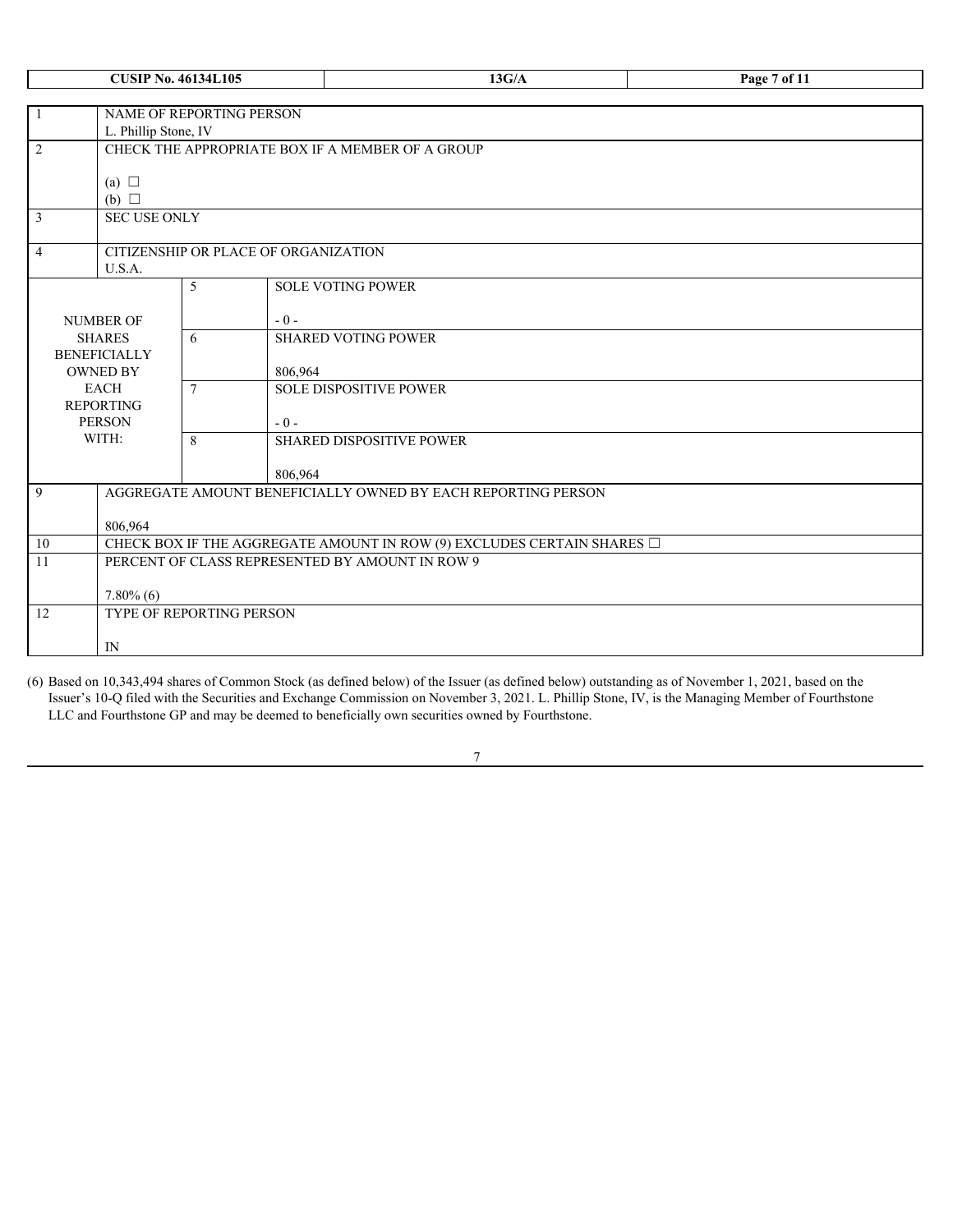|                 | <b>CUSIP No. 46134L105</b>                                               |                                      |         | 13G/A                                                                       | Page 7 of 11 |  |  |  |
|-----------------|--------------------------------------------------------------------------|--------------------------------------|---------|-----------------------------------------------------------------------------|--------------|--|--|--|
|                 |                                                                          |                                      |         |                                                                             |              |  |  |  |
|                 | NAME OF REPORTING PERSON                                                 |                                      |         |                                                                             |              |  |  |  |
| $\overline{2}$  | L. Phillip Stone, IV<br>CHECK THE APPROPRIATE BOX IF A MEMBER OF A GROUP |                                      |         |                                                                             |              |  |  |  |
|                 |                                                                          |                                      |         |                                                                             |              |  |  |  |
|                 | (a) $\Box$                                                               |                                      |         |                                                                             |              |  |  |  |
|                 | (b) $\Box$                                                               |                                      |         |                                                                             |              |  |  |  |
| $\overline{3}$  | <b>SEC USE ONLY</b>                                                      |                                      |         |                                                                             |              |  |  |  |
|                 |                                                                          |                                      |         |                                                                             |              |  |  |  |
| $\overline{4}$  | U.S.A.                                                                   | CITIZENSHIP OR PLACE OF ORGANIZATION |         |                                                                             |              |  |  |  |
|                 |                                                                          | 5                                    |         | <b>SOLE VOTING POWER</b>                                                    |              |  |  |  |
|                 |                                                                          |                                      |         |                                                                             |              |  |  |  |
|                 | <b>NUMBER OF</b>                                                         |                                      | $-0-$   |                                                                             |              |  |  |  |
|                 | <b>SHARES</b>                                                            | 6                                    |         | <b>SHARED VOTING POWER</b>                                                  |              |  |  |  |
|                 | <b>BENEFICIALLY</b><br><b>OWNED BY</b>                                   |                                      | 806,964 |                                                                             |              |  |  |  |
|                 | <b>EACH</b>                                                              | $\tau$                               |         | <b>SOLE DISPOSITIVE POWER</b>                                               |              |  |  |  |
|                 | <b>REPORTING</b>                                                         |                                      |         |                                                                             |              |  |  |  |
|                 | <b>PERSON</b>                                                            |                                      | $-0-$   |                                                                             |              |  |  |  |
|                 | WITH:                                                                    | 8                                    |         | SHARED DISPOSITIVE POWER                                                    |              |  |  |  |
|                 |                                                                          |                                      | 806,964 |                                                                             |              |  |  |  |
| 9               |                                                                          |                                      |         | AGGREGATE AMOUNT BENEFICIALLY OWNED BY EACH REPORTING PERSON                |              |  |  |  |
|                 |                                                                          |                                      |         |                                                                             |              |  |  |  |
|                 | 806,964                                                                  |                                      |         |                                                                             |              |  |  |  |
| 10              |                                                                          |                                      |         | CHECK BOX IF THE AGGREGATE AMOUNT IN ROW (9) EXCLUDES CERTAIN SHARES $\Box$ |              |  |  |  |
| $\overline{11}$ |                                                                          |                                      |         | PERCENT OF CLASS REPRESENTED BY AMOUNT IN ROW 9                             |              |  |  |  |
|                 | $7.80\%$ (6)                                                             |                                      |         |                                                                             |              |  |  |  |
| 12              |                                                                          | TYPE OF REPORTING PERSON             |         |                                                                             |              |  |  |  |
|                 |                                                                          |                                      |         |                                                                             |              |  |  |  |
|                 | $\ensuremath{\text{IN}}$                                                 |                                      |         |                                                                             |              |  |  |  |

(6) Based on 10,343,494 shares of Common Stock (as defined below) of the Issuer (as defined below) outstanding as of November 1, 2021, based on the Issuer's 10-Q filed with the Securities and Exchange Commission on November 3, 2021. L. Phillip Stone, IV, is the Managing Member of Fourthstone LLC and Fourthstone GP and may be deemed to beneficially own securities owned by Fourthstone.

| ۰. |  |  |
|----|--|--|
|    |  |  |
|    |  |  |
|    |  |  |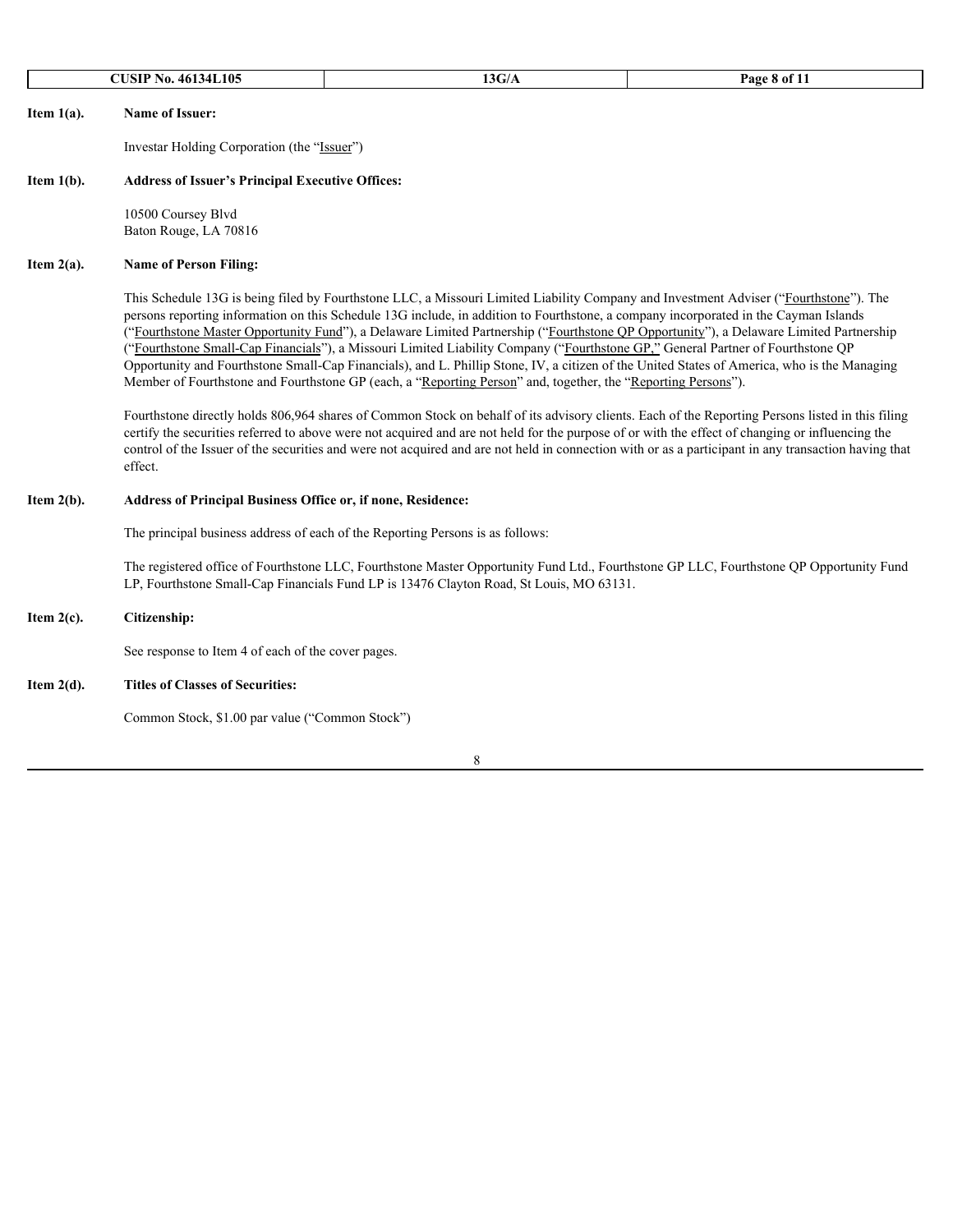|               | <b>CUSIP No. 46134L105</b>                                   | 13G/A                                                                                                                                                                                                                                                                                                                                                                                                                                                                                                                                                                                                                                                                                                                                                                                                                     | Page 8 of 11 |
|---------------|--------------------------------------------------------------|---------------------------------------------------------------------------------------------------------------------------------------------------------------------------------------------------------------------------------------------------------------------------------------------------------------------------------------------------------------------------------------------------------------------------------------------------------------------------------------------------------------------------------------------------------------------------------------------------------------------------------------------------------------------------------------------------------------------------------------------------------------------------------------------------------------------------|--------------|
| Item $1(a)$ . | <b>Name of Issuer:</b>                                       |                                                                                                                                                                                                                                                                                                                                                                                                                                                                                                                                                                                                                                                                                                                                                                                                                           |              |
|               | Investar Holding Corporation (the "Issuer")                  |                                                                                                                                                                                                                                                                                                                                                                                                                                                                                                                                                                                                                                                                                                                                                                                                                           |              |
| Item $1(b)$ . | <b>Address of Issuer's Principal Executive Offices:</b>      |                                                                                                                                                                                                                                                                                                                                                                                                                                                                                                                                                                                                                                                                                                                                                                                                                           |              |
|               | 10500 Coursey Blvd<br>Baton Rouge, LA 70816                  |                                                                                                                                                                                                                                                                                                                                                                                                                                                                                                                                                                                                                                                                                                                                                                                                                           |              |
| Item $2(a)$ . | <b>Name of Person Filing:</b>                                |                                                                                                                                                                                                                                                                                                                                                                                                                                                                                                                                                                                                                                                                                                                                                                                                                           |              |
|               |                                                              | This Schedule 13G is being filed by Fourthstone LLC, a Missouri Limited Liability Company and Investment Adviser ("Fourthstone"). The<br>persons reporting information on this Schedule 13G include, in addition to Fourthstone, a company incorporated in the Cayman Islands<br>("Fourthstone Master Opportunity Fund"), a Delaware Limited Partnership ("Fourthstone OP Opportunity"), a Delaware Limited Partnership<br>("Fourthstone Small-Cap Financials"), a Missouri Limited Liability Company ("Fourthstone GP" General Partner of Fourthstone QP<br>Opportunity and Fourthstone Small-Cap Financials), and L. Phillip Stone, IV, a citizen of the United States of America, who is the Managing<br>Member of Fourthstone and Fourthstone GP (each, a "Reporting Person" and, together, the "Reporting Persons"). |              |
|               | effect.                                                      | Fourthstone directly holds 806,964 shares of Common Stock on behalf of its advisory clients. Each of the Reporting Persons listed in this filing<br>certify the securities referred to above were not acquired and are not held for the purpose of or with the effect of changing or influencing the<br>control of the Issuer of the securities and were not acquired and are not held in connection with or as a participant in any transaction having that                                                                                                                                                                                                                                                                                                                                                              |              |
| Item $2(b)$ . | Address of Principal Business Office or, if none, Residence: |                                                                                                                                                                                                                                                                                                                                                                                                                                                                                                                                                                                                                                                                                                                                                                                                                           |              |
|               |                                                              | The principal business address of each of the Reporting Persons is as follows:                                                                                                                                                                                                                                                                                                                                                                                                                                                                                                                                                                                                                                                                                                                                            |              |
|               |                                                              | The registered office of Fourthstone LLC, Fourthstone Master Opportunity Fund Ltd., Fourthstone GP LLC, Fourthstone QP Opportunity Fund<br>LP, Fourthstone Small-Cap Financials Fund LP is 13476 Clayton Road, St Louis, MO 63131.                                                                                                                                                                                                                                                                                                                                                                                                                                                                                                                                                                                        |              |
| Item $2(c)$ . | Citizenship:                                                 |                                                                                                                                                                                                                                                                                                                                                                                                                                                                                                                                                                                                                                                                                                                                                                                                                           |              |
|               | See response to Item 4 of each of the cover pages.           |                                                                                                                                                                                                                                                                                                                                                                                                                                                                                                                                                                                                                                                                                                                                                                                                                           |              |
| Item $2(d)$ . | <b>Titles of Classes of Securities:</b>                      |                                                                                                                                                                                                                                                                                                                                                                                                                                                                                                                                                                                                                                                                                                                                                                                                                           |              |
|               | Common Stock, \$1.00 par value ("Common Stock")              |                                                                                                                                                                                                                                                                                                                                                                                                                                                                                                                                                                                                                                                                                                                                                                                                                           |              |
|               |                                                              | 8                                                                                                                                                                                                                                                                                                                                                                                                                                                                                                                                                                                                                                                                                                                                                                                                                         |              |
|               |                                                              |                                                                                                                                                                                                                                                                                                                                                                                                                                                                                                                                                                                                                                                                                                                                                                                                                           |              |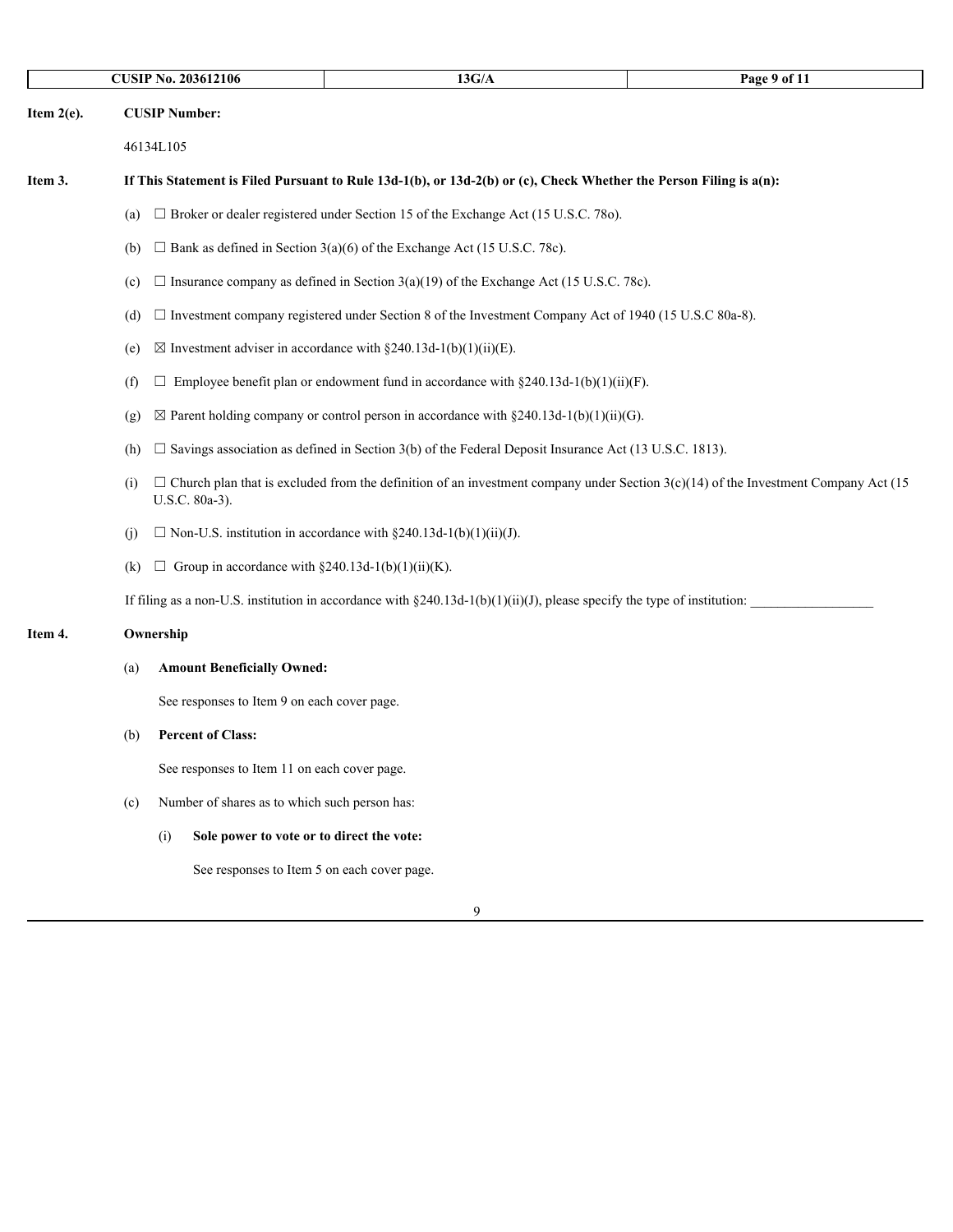|               |     | <b>CUSIP No. 203612106</b>                                       | 13G/A                                                                                                                                      | Page 9 of 11 |
|---------------|-----|------------------------------------------------------------------|--------------------------------------------------------------------------------------------------------------------------------------------|--------------|
| Item $2(e)$ . |     | <b>CUSIP Number:</b>                                             |                                                                                                                                            |              |
|               |     | 46134L105                                                        |                                                                                                                                            |              |
| Item 3.       |     |                                                                  | If This Statement is Filed Pursuant to Rule 13d-1(b), or 13d-2(b) or (c), Check Whether the Person Filing is a(n):                         |              |
|               | (a) |                                                                  | $\Box$ Broker or dealer registered under Section 15 of the Exchange Act (15 U.S.C. 780).                                                   |              |
|               | (b) |                                                                  | $\Box$ Bank as defined in Section 3(a)(6) of the Exchange Act (15 U.S.C. 78c).                                                             |              |
|               | (c) |                                                                  | $\Box$ Insurance company as defined in Section 3(a)(19) of the Exchange Act (15 U.S.C. 78c).                                               |              |
|               | (d) |                                                                  | $\Box$ Investment company registered under Section 8 of the Investment Company Act of 1940 (15 U.S.C 80a-8).                               |              |
|               | (e) |                                                                  | $\boxtimes$ Investment adviser in accordance with §240.13d-1(b)(1)(ii)(E).                                                                 |              |
|               | (f) | $\Box$                                                           | Employee benefit plan or endowment fund in accordance with $\S 240.13d-1(b)(1)(ii)(F)$ .                                                   |              |
|               | (g) |                                                                  | $\boxtimes$ Parent holding company or control person in accordance with §240.13d-1(b)(1)(ii)(G).                                           |              |
|               | (h) |                                                                  | $\Box$ Savings association as defined in Section 3(b) of the Federal Deposit Insurance Act (13 U.S.C. 1813).                               |              |
|               | (i) | U.S.C. 80a-3).                                                   | $\Box$ Church plan that is excluded from the definition of an investment company under Section 3(c)(14) of the Investment Company Act (15) |              |
|               | (i) |                                                                  | $\Box$ Non-U.S. institution in accordance with §240.13d-1(b)(1)(ii)(J).                                                                    |              |
|               | (k) | Group in accordance with $\S 240.13d-1(b)(1)(ii)(K)$ .<br>$\Box$ |                                                                                                                                            |              |
|               |     |                                                                  | If filing as a non-U.S. institution in accordance with $\S240.13d-1(b)(1)(ii)(J)$ , please specify the type of institution:                |              |
| Item 4.       |     | Ownership                                                        |                                                                                                                                            |              |
|               | (a) | <b>Amount Beneficially Owned:</b>                                |                                                                                                                                            |              |
|               |     | See responses to Item 9 on each cover page.                      |                                                                                                                                            |              |
|               | (b) | <b>Percent of Class:</b>                                         |                                                                                                                                            |              |
|               |     | See responses to Item 11 on each cover page.                     |                                                                                                                                            |              |
|               | (c) | Number of shares as to which such person has:                    |                                                                                                                                            |              |
|               |     | Sole power to vote or to direct the vote:<br>(i)                 |                                                                                                                                            |              |
|               |     | See responses to Item 5 on each cover page.                      |                                                                                                                                            |              |
|               |     |                                                                  | 9                                                                                                                                          |              |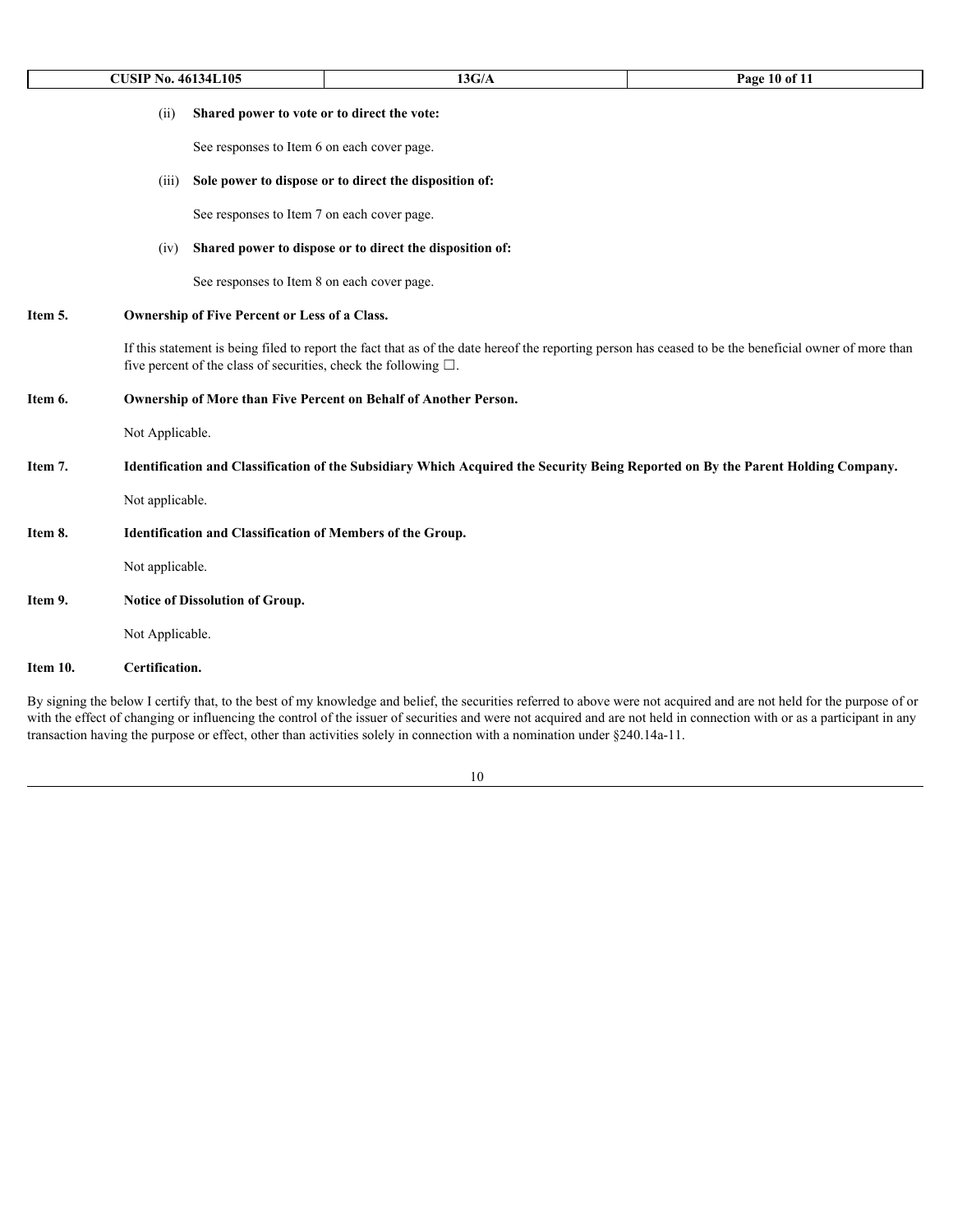|          | <b>CUSIP No. 46134L105</b> |                                                                          | 13G/A                                                                                                                                                  | Page 10 of 11                                                                                                                                                          |
|----------|----------------------------|--------------------------------------------------------------------------|--------------------------------------------------------------------------------------------------------------------------------------------------------|------------------------------------------------------------------------------------------------------------------------------------------------------------------------|
|          | (ii)                       | Shared power to vote or to direct the vote:                              |                                                                                                                                                        |                                                                                                                                                                        |
|          |                            | See responses to Item 6 on each cover page.                              |                                                                                                                                                        |                                                                                                                                                                        |
|          | (iii)                      |                                                                          | Sole power to dispose or to direct the disposition of:                                                                                                 |                                                                                                                                                                        |
|          |                            | See responses to Item 7 on each cover page.                              |                                                                                                                                                        |                                                                                                                                                                        |
|          | (iv)                       |                                                                          | Shared power to dispose or to direct the disposition of:                                                                                               |                                                                                                                                                                        |
|          |                            | See responses to Item 8 on each cover page.                              |                                                                                                                                                        |                                                                                                                                                                        |
| Item 5.  |                            | Ownership of Five Percent or Less of a Class.                            |                                                                                                                                                        |                                                                                                                                                                        |
|          |                            | five percent of the class of securities, check the following $\square$ . | If this statement is being filed to report the fact that as of the date hereof the reporting person has ceased to be the beneficial owner of more than |                                                                                                                                                                        |
| Item 6.  |                            |                                                                          | Ownership of More than Five Percent on Behalf of Another Person.                                                                                       |                                                                                                                                                                        |
|          | Not Applicable.            |                                                                          |                                                                                                                                                        |                                                                                                                                                                        |
| Item 7.  |                            |                                                                          | Identification and Classification of the Subsidiary Which Acquired the Security Being Reported on By the Parent Holding Company.                       |                                                                                                                                                                        |
|          | Not applicable.            |                                                                          |                                                                                                                                                        |                                                                                                                                                                        |
| Item 8.  |                            | Identification and Classification of Members of the Group.               |                                                                                                                                                        |                                                                                                                                                                        |
|          | Not applicable.            |                                                                          |                                                                                                                                                        |                                                                                                                                                                        |
| Item 9.  |                            | Notice of Dissolution of Group.                                          |                                                                                                                                                        |                                                                                                                                                                        |
|          | Not Applicable.            |                                                                          |                                                                                                                                                        |                                                                                                                                                                        |
| Item 10. | Certification.             |                                                                          |                                                                                                                                                        |                                                                                                                                                                        |
|          |                            |                                                                          |                                                                                                                                                        | By signing the below I certify that, to the best of my knowledge and belief, the securities referred to above were not acquired and are not held for the purpose of or |

10

transaction having the purpose or effect, other than activities solely in connection with a nomination under §240.14a-11.

with the effect of changing or influencing the control of the issuer of securities and were not acquired and are not held in connection with or as a participant in any